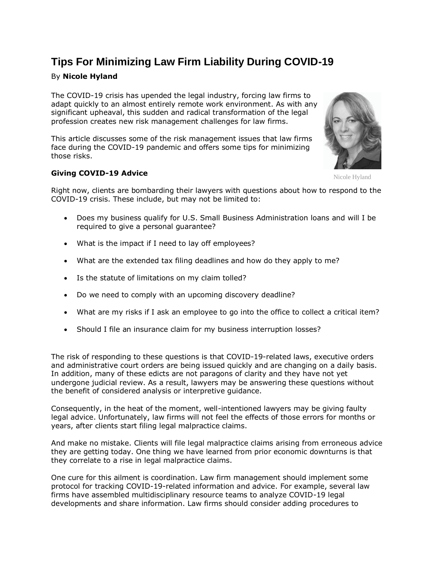# **Tips For Minimizing Law Firm Liability During COVID-19**

# By **Nicole Hyland**

The COVID-19 crisis has upended the legal industry, forcing law firms to adapt quickly to an almost entirely remote work environment. As with any significant upheaval, this sudden and radical transformation of the legal profession creates new risk management challenges for law firms.

This article discusses some of the risk management issues that law firms face during the COVID-19 pandemic and offers some tips for minimizing those risks.

# **Giving COVID-19 Advice**

Right now, clients are bombarding their lawyers with questions about how to respond to the COVID-19 crisis. These include, but may not be limited to:

- Does my business qualify for [U.S. Small Business Administration](https://www.law360.com/agencies/small-business-administration) loans and will I be required to give a personal guarantee?
- What is the impact if I need to lay off employees?
- What are the extended tax filing deadlines and how do they apply to me?
- Is the statute of limitations on my claim tolled?
- Do we need to comply with an upcoming discovery deadline?
- What are my risks if I ask an employee to go into the office to collect a critical item?
- Should I file an insurance claim for my business interruption losses?

The risk of responding to these questions is that COVID-19-related laws, executive orders and administrative court orders are being issued quickly and are changing on a daily basis. In addition, many of these edicts are not paragons of clarity and they have not yet undergone judicial review. As a result, lawyers may be answering these questions without the benefit of considered analysis or interpretive guidance.

Consequently, in the heat of the moment, well-intentioned lawyers may be giving faulty legal advice. Unfortunately, law firms will not feel the effects of those errors for months or years, after clients start filing legal malpractice claims.

And make no mistake. Clients will file legal malpractice claims arising from erroneous advice they are getting today. One thing we have learned from prior economic downturns is that they correlate to a rise in legal malpractice claims.

One cure for this ailment is coordination. Law firm management should implement some protocol for tracking COVID-19-related information and advice. For example, several law firms have assembled multidisciplinary resource teams to analyze COVID-19 legal developments and share information. Law firms should consider adding procedures to

Nicole Hyland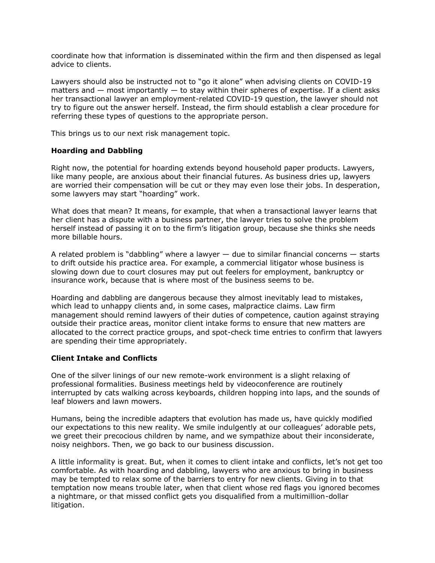coordinate how that information is disseminated within the firm and then dispensed as legal advice to clients.

Lawyers should also be instructed not to "go it alone" when advising clients on COVID-19 matters and  $-$  most importantly  $-$  to stay within their spheres of expertise. If a client asks her transactional lawyer an employment-related COVID-19 question, the lawyer should not try to figure out the answer herself. Instead, the firm should establish a clear procedure for referring these types of questions to the appropriate person.

This brings us to our next risk management topic.

#### **Hoarding and Dabbling**

Right now, the potential for hoarding extends beyond household paper products. Lawyers, like many people, are anxious about their financial futures. As business dries up, lawyers are worried their compensation will be cut or they may even lose their jobs. In desperation, some lawyers may start "hoarding" work.

What does that mean? It means, for example, that when a transactional lawyer learns that her client has a dispute with a business partner, the lawyer tries to solve the problem herself instead of passing it on to the firm's litigation group, because she thinks she needs more billable hours.

A related problem is "dabbling" where a lawyer  $-$  due to similar financial concerns  $-$  starts to drift outside his practice area. For example, a commercial litigator whose business is slowing down due to court closures may put out feelers for employment, bankruptcy or insurance work, because that is where most of the business seems to be.

Hoarding and dabbling are dangerous because they almost inevitably lead to mistakes, which lead to unhappy clients and, in some cases, malpractice claims. Law firm management should remind lawyers of their duties of competence, caution against straying outside their practice areas, monitor client intake forms to ensure that new matters are allocated to the correct practice groups, and spot-check time entries to confirm that lawyers are spending their time appropriately.

#### **Client Intake and Conflicts**

One of the silver linings of our new remote-work environment is a slight relaxing of professional formalities. Business meetings held by videoconference are routinely interrupted by cats walking across keyboards, children hopping into laps, and the sounds of leaf blowers and lawn mowers.

Humans, being the incredible adapters that evolution has made us, have quickly modified our expectations to this new reality. We smile indulgently at our colleagues' adorable pets, we greet their precocious children by name, and we sympathize about their inconsiderate, noisy neighbors. Then, we go back to our business discussion.

A little informality is great. But, when it comes to client intake and conflicts, let's not get too comfortable. As with hoarding and dabbling, lawyers who are anxious to bring in business may be tempted to relax some of the barriers to entry for new clients. Giving in to that temptation now means trouble later, when that client whose red flags you ignored becomes a nightmare, or that missed conflict gets you disqualified from a multimillion-dollar litigation.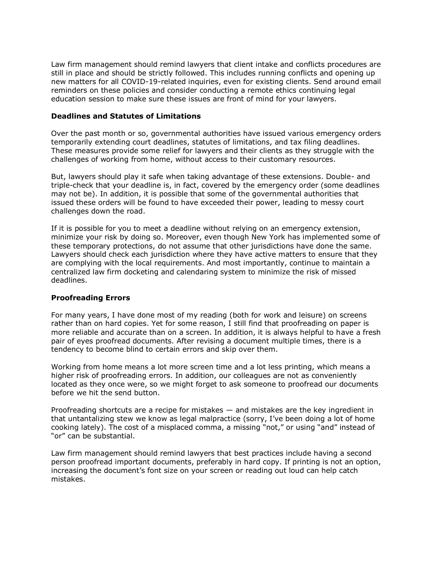Law firm management should remind lawyers that client intake and conflicts procedures are still in place and should be strictly followed. This includes running conflicts and opening up new matters for all COVID-19-related inquiries, even for existing clients. Send around email reminders on these policies and consider conducting a remote ethics continuing legal education session to make sure these issues are front of mind for your lawyers.

#### **Deadlines and Statutes of Limitations**

Over the past month or so, governmental authorities have issued various emergency orders temporarily extending court deadlines, statutes of limitations, and tax filing deadlines. These measures provide some relief for lawyers and their clients as they struggle with the challenges of working from home, without access to their customary resources.

But, lawyers should play it safe when taking advantage of these extensions. Double- and triple-check that your deadline is, in fact, covered by the emergency order (some deadlines may not be). In addition, it is possible that some of the governmental authorities that issued these orders will be found to have exceeded their power, leading to messy court challenges down the road.

If it is possible for you to meet a deadline without relying on an emergency extension, minimize your risk by doing so. Moreover, even though New York has implemented some of these temporary protections, do not assume that other jurisdictions have done the same. Lawyers should check each jurisdiction where they have active matters to ensure that they are complying with the local requirements. And most importantly, continue to maintain a centralized law firm docketing and calendaring system to minimize the risk of missed deadlines.

#### **Proofreading Errors**

For many years, I have done most of my reading (both for work and leisure) on screens rather than on hard copies. Yet for some reason, I still find that proofreading on paper is more reliable and accurate than on a screen. In addition, it is always helpful to have a fresh pair of eyes proofread documents. After revising a document multiple times, there is a tendency to become blind to certain errors and skip over them.

Working from home means a lot more screen time and a lot less printing, which means a higher risk of proofreading errors. In addition, our colleagues are not as conveniently located as they once were, so we might forget to ask someone to proofread our documents before we hit the send button.

Proofreading shortcuts are a recipe for mistakes — and mistakes are the key ingredient in that untantalizing stew we know as legal malpractice (sorry, I've been doing a lot of home cooking lately). The cost of a misplaced comma, a missing "not," or using "and" instead of "or" can be substantial.

Law firm management should remind lawyers that best practices include having a second person proofread important documents, preferably in hard copy. If printing is not an option, increasing the document's font size on your screen or reading out loud can help catch mistakes.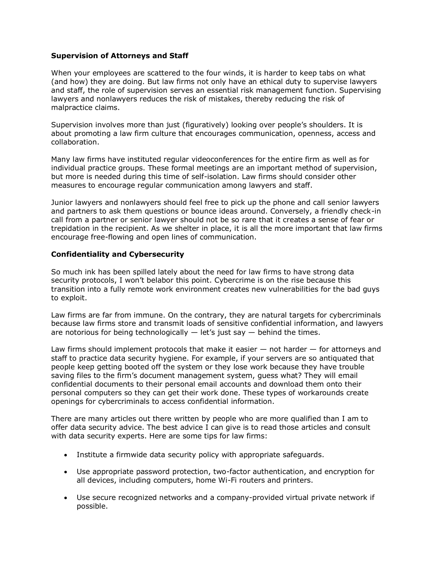#### **Supervision of Attorneys and Staff**

When your employees are scattered to the four winds, it is harder to keep tabs on what (and how) they are doing. But law firms not only have an ethical duty to supervise lawyers and staff, the role of supervision serves an essential risk management function. Supervising lawyers and nonlawyers reduces the risk of mistakes, thereby reducing the risk of malpractice claims.

Supervision involves more than just (figuratively) looking over people's shoulders. It is about promoting a law firm culture that encourages communication, openness, access and collaboration.

Many law firms have instituted regular videoconferences for the entire firm as well as for individual practice groups. These formal meetings are an important method of supervision, but more is needed during this time of self-isolation. Law firms should consider other measures to encourage regular communication among lawyers and staff.

Junior lawyers and nonlawyers should feel free to pick up the phone and call senior lawyers and partners to ask them questions or bounce ideas around. Conversely, a friendly check-in call from a partner or senior lawyer should not be so rare that it creates a sense of fear or trepidation in the recipient. As we shelter in place, it is all the more important that law firms encourage free-flowing and open lines of communication.

# **Confidentiality and Cybersecurity**

So much ink has been spilled lately about the need for law firms to have strong data security protocols, I won't belabor this point. Cybercrime is on the rise because this transition into a fully remote work environment creates new vulnerabilities for the bad guys to exploit.

Law firms are far from immune. On the contrary, they are natural targets for cybercriminals because law firms store and transmit loads of sensitive confidential information, and lawyers are notorious for being technologically  $-$  let's just say  $-$  behind the times.

Law firms should implement protocols that make it easier — not harder — for attorneys and staff to practice data security hygiene. For example, if your servers are so antiquated that people keep getting booted off the system or they lose work because they have trouble saving files to the firm's document management system, guess what? They will email confidential documents to their personal email accounts and download them onto their personal computers so they can get their work done. These types of workarounds create openings for cybercriminals to access confidential information.

There are many articles out there written by people who are more qualified than I am to offer data security advice. The best advice I can give is to read those articles and consult with data security experts. Here are some tips for law firms:

- Institute a firmwide data security policy with appropriate safeguards.
- Use appropriate password protection, two-factor authentication, and encryption for all devices, including computers, home Wi-Fi routers and printers.
- Use secure recognized networks and a company-provided virtual private network if possible.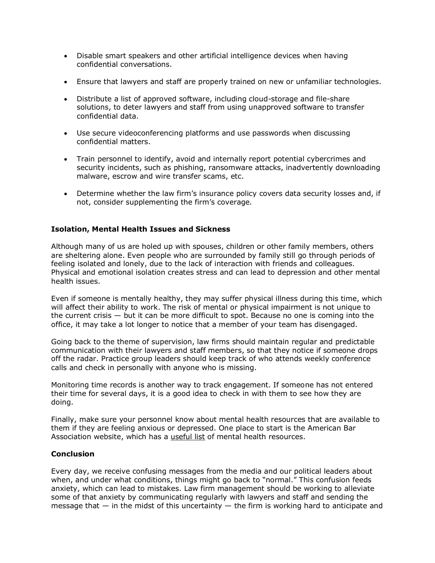- Disable smart speakers and other artificial intelligence devices when having confidential conversations.
- Ensure that lawyers and staff are properly trained on new or unfamiliar technologies.
- Distribute a list of approved software, including cloud-storage and file-share solutions, to deter lawyers and staff from using unapproved software to transfer confidential data.
- Use secure videoconferencing platforms and use passwords when discussing confidential matters.
- Train personnel to identify, avoid and internally report potential cybercrimes and security incidents, such as phishing, ransomware attacks, inadvertently downloading malware, escrow and wire transfer scams, etc.
- Determine whether the law firm's insurance policy covers data security losses and, if not, consider supplementing the firm's coverage.

# **Isolation, Mental Health Issues and Sickness**

Although many of us are holed up with spouses, children or other family members, others are sheltering alone. Even people who are surrounded by family still go through periods of feeling isolated and lonely, due to the lack of interaction with friends and colleagues. Physical and emotional isolation creates stress and can lead to depression and other mental health issues.

Even if someone is mentally healthy, they may suffer physical illness during this time, which will affect their ability to work. The risk of mental or physical impairment is not unique to the current crisis — but it can be more difficult to spot. Because no one is coming into the office, it may take a lot longer to notice that a member of your team has disengaged.

Going back to the theme of supervision, law firms should maintain regular and predictable communication with their lawyers and staff members, so that they notice if someone drops off the radar. Practice group leaders should keep track of who attends weekly conference calls and check in personally with anyone who is missing.

Monitoring time records is another way to track engagement. If someone has not entered their time for several days, it is a good idea to check in with them to see how they are doing.

Finally, make sure your personnel know about mental health resources that are available to them if they are feeling anxious or depressed. One place to start is the [American Bar](https://www.law360.com/companies/american-bar-association)  [Association](https://www.law360.com/companies/american-bar-association) website, which has a [useful list](https://www.americanbar.org/groups/lawyer_assistance/resources/covid-19--mental-health-resources/) of mental health resources.

#### **Conclusion**

Every day, we receive confusing messages from the media and our political leaders about when, and under what conditions, things might go back to "normal." This confusion feeds anxiety, which can lead to mistakes. Law firm management should be working to alleviate some of that anxiety by communicating regularly with lawyers and staff and sending the message that  $-$  in the midst of this uncertainty  $-$  the firm is working hard to anticipate and